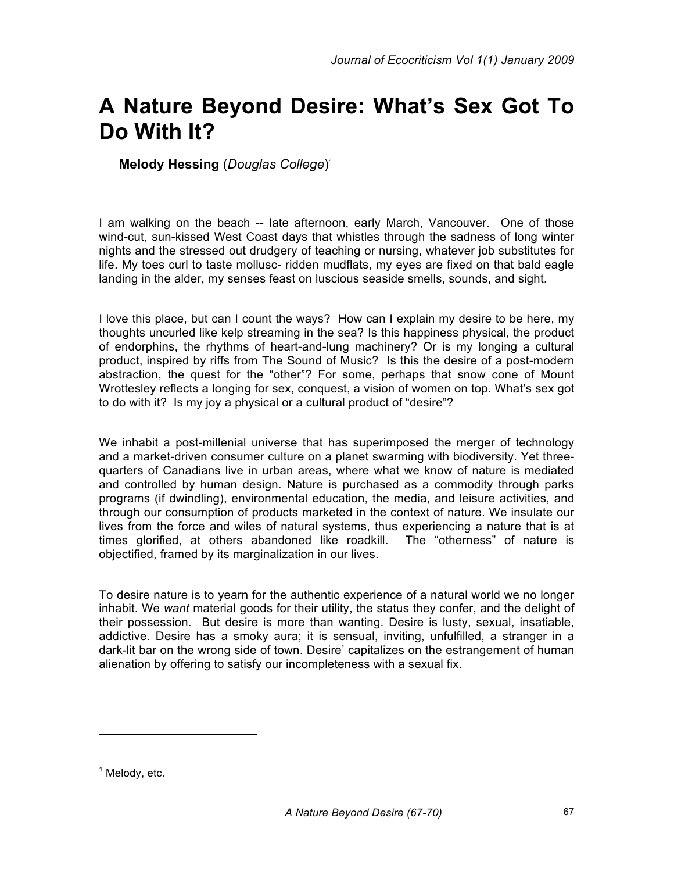## **A Nature Beyond Desire: What's Sex Got To Do With It?**

**Melody Hessing** (*Douglas College*) 1

I am walking on the beach -- late afternoon, early March, Vancouver. One of those wind-cut, sun-kissed West Coast days that whistles through the sadness of long winter nights and the stressed out drudgery of teaching or nursing, whatever job substitutes for life. My toes curl to taste mollusc- ridden mudflats, my eyes are fixed on that bald eagle landing in the alder, my senses feast on luscious seaside smells, sounds, and sight.

I love this place, but can I count the ways? How can I explain my desire to be here, my thoughts uncurled like kelp streaming in the sea? Is this happiness physical, the product of endorphins, the rhythms of heart-and-lung machinery? Or is my longing a cultural product, inspired by riffs from The Sound of Music? Is this the desire of a post-modern abstraction, the quest for the "other"? For some, perhaps that snow cone of Mount Wrottesley reflects a longing for sex, conquest, a vision of women on top. What's sex got to do with it? Is my joy a physical or a cultural product of "desire"?

We inhabit a post-millenial universe that has superimposed the merger of technology and a market-driven consumer culture on a planet swarming with biodiversity. Yet threequarters of Canadians live in urban areas, where what we know of nature is mediated and controlled by human design. Nature is purchased as a commodity through parks programs (if dwindling), environmental education, the media, and leisure activities, and through our consumption of products marketed in the context of nature. We insulate our lives from the force and wiles of natural systems, thus experiencing a nature that is at times glorified, at others abandoned like roadkill. The "otherness" of nature is objectified, framed by its marginalization in our lives.

To desire nature is to yearn for the authentic experience of a natural world we no longer inhabit. We *want* material goods for their utility, the status they confer, and the delight of their possession. But desire is more than wanting. Desire is lusty, sexual, insatiable, addictive. Desire has a smoky aura; it is sensual, inviting, unfulfilled, a stranger in a dark-lit bar on the wrong side of town. Desire' capitalizes on the estrangement of human alienation by offering to satisfy our incompleteness with a sexual fix.

 $<sup>1</sup>$  Melody, etc.</sup>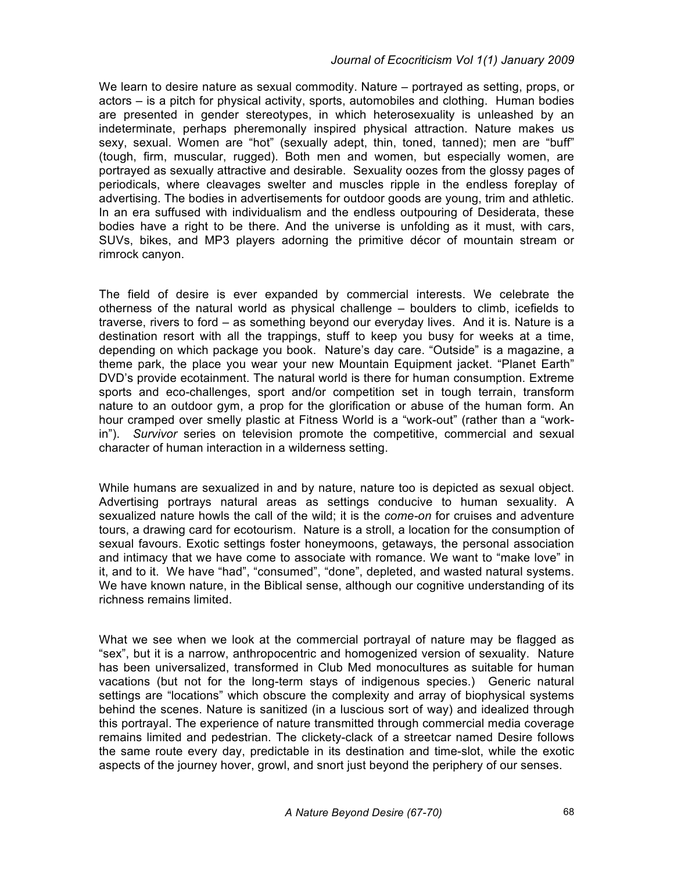We learn to desire nature as sexual commodity. Nature – portrayed as setting, props, or actors – is a pitch for physical activity, sports, automobiles and clothing. Human bodies are presented in gender stereotypes, in which heterosexuality is unleashed by an indeterminate, perhaps pheremonally inspired physical attraction. Nature makes us sexy, sexual. Women are "hot" (sexually adept, thin, toned, tanned); men are "buff" (tough, firm, muscular, rugged). Both men and women, but especially women, are portrayed as sexually attractive and desirable. Sexuality oozes from the glossy pages of periodicals, where cleavages swelter and muscles ripple in the endless foreplay of advertising. The bodies in advertisements for outdoor goods are young, trim and athletic. In an era suffused with individualism and the endless outpouring of Desiderata, these bodies have a right to be there. And the universe is unfolding as it must, with cars, SUVs, bikes, and MP3 players adorning the primitive décor of mountain stream or rimrock canyon.

The field of desire is ever expanded by commercial interests. We celebrate the otherness of the natural world as physical challenge – boulders to climb, icefields to traverse, rivers to ford – as something beyond our everyday lives. And it is. Nature is a destination resort with all the trappings, stuff to keep you busy for weeks at a time, depending on which package you book. Nature's day care. "Outside" is a magazine, a theme park, the place you wear your new Mountain Equipment jacket. "Planet Earth" DVD's provide ecotainment. The natural world is there for human consumption. Extreme sports and eco-challenges, sport and/or competition set in tough terrain, transform nature to an outdoor gym, a prop for the glorification or abuse of the human form. An hour cramped over smelly plastic at Fitness World is a "work-out" (rather than a "workin"). *Survivor* series on television promote the competitive, commercial and sexual character of human interaction in a wilderness setting.

While humans are sexualized in and by nature, nature too is depicted as sexual object. Advertising portrays natural areas as settings conducive to human sexuality. A sexualized nature howls the call of the wild; it is the *come-on* for cruises and adventure tours, a drawing card for ecotourism. Nature is a stroll, a location for the consumption of sexual favours. Exotic settings foster honeymoons, getaways, the personal association and intimacy that we have come to associate with romance. We want to "make love" in it, and to it. We have "had", "consumed", "done", depleted, and wasted natural systems. We have known nature, in the Biblical sense, although our cognitive understanding of its richness remains limited.

What we see when we look at the commercial portrayal of nature may be flagged as "sex", but it is a narrow, anthropocentric and homogenized version of sexuality. Nature has been universalized, transformed in Club Med monocultures as suitable for human vacations (but not for the long-term stays of indigenous species.) Generic natural settings are "locations" which obscure the complexity and array of biophysical systems behind the scenes. Nature is sanitized (in a luscious sort of way) and idealized through this portrayal. The experience of nature transmitted through commercial media coverage remains limited and pedestrian. The clickety-clack of a streetcar named Desire follows the same route every day, predictable in its destination and time-slot, while the exotic aspects of the journey hover, growl, and snort just beyond the periphery of our senses.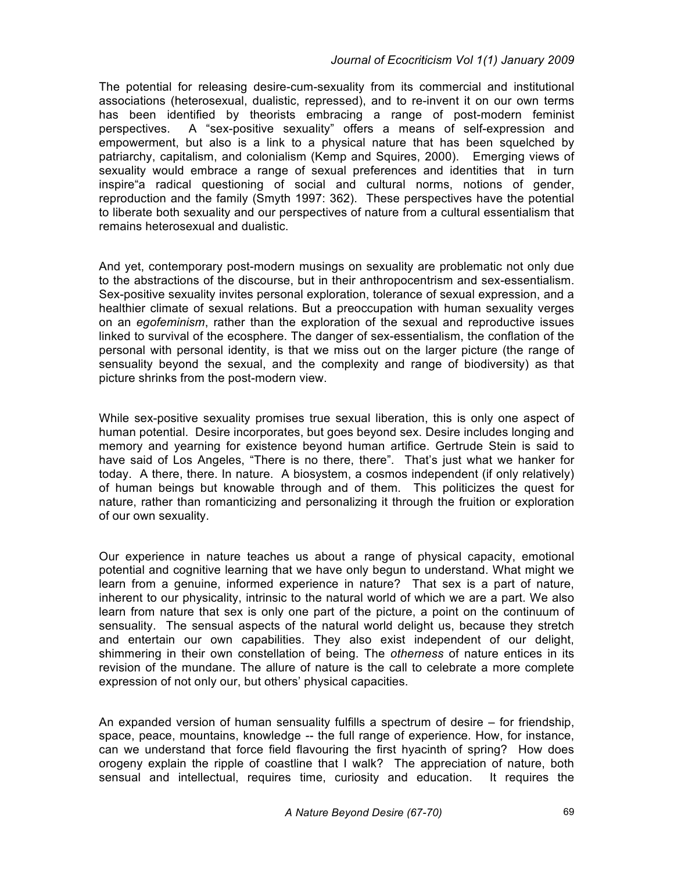## *Journal of Ecocriticism Vol 1(1) January 2009*

The potential for releasing desire-cum-sexuality from its commercial and institutional associations (heterosexual, dualistic, repressed), and to re-invent it on our own terms has been identified by theorists embracing a range of post-modern feminist perspectives. A "sex-positive sexuality" offers a means of self-expression and empowerment, but also is a link to a physical nature that has been squelched by patriarchy, capitalism, and colonialism (Kemp and Squires, 2000). Emerging views of sexuality would embrace a range of sexual preferences and identities that in turn inspire"a radical questioning of social and cultural norms, notions of gender, reproduction and the family (Smyth 1997: 362). These perspectives have the potential to liberate both sexuality and our perspectives of nature from a cultural essentialism that remains heterosexual and dualistic.

And yet, contemporary post-modern musings on sexuality are problematic not only due to the abstractions of the discourse, but in their anthropocentrism and sex-essentialism. Sex-positive sexuality invites personal exploration, tolerance of sexual expression, and a healthier climate of sexual relations. But a preoccupation with human sexuality verges on an *egofeminism*, rather than the exploration of the sexual and reproductive issues linked to survival of the ecosphere. The danger of sex-essentialism, the conflation of the personal with personal identity, is that we miss out on the larger picture (the range of sensuality beyond the sexual, and the complexity and range of biodiversity) as that picture shrinks from the post-modern view.

While sex-positive sexuality promises true sexual liberation, this is only one aspect of human potential. Desire incorporates, but goes beyond sex. Desire includes longing and memory and yearning for existence beyond human artifice. Gertrude Stein is said to have said of Los Angeles, "There is no there, there". That's just what we hanker for today. A there, there. In nature. A biosystem, a cosmos independent (if only relatively) of human beings but knowable through and of them. This politicizes the quest for nature, rather than romanticizing and personalizing it through the fruition or exploration of our own sexuality.

Our experience in nature teaches us about a range of physical capacity, emotional potential and cognitive learning that we have only begun to understand. What might we learn from a genuine, informed experience in nature? That sex is a part of nature, inherent to our physicality, intrinsic to the natural world of which we are a part. We also learn from nature that sex is only one part of the picture, a point on the continuum of sensuality. The sensual aspects of the natural world delight us, because they stretch and entertain our own capabilities. They also exist independent of our delight, shimmering in their own constellation of being. The *otherness* of nature entices in its revision of the mundane. The allure of nature is the call to celebrate a more complete expression of not only our, but others' physical capacities.

An expanded version of human sensuality fulfills a spectrum of desire – for friendship, space, peace, mountains, knowledge -- the full range of experience. How, for instance, can we understand that force field flavouring the first hyacinth of spring? How does orogeny explain the ripple of coastline that I walk? The appreciation of nature, both sensual and intellectual, requires time, curiosity and education. It requires the